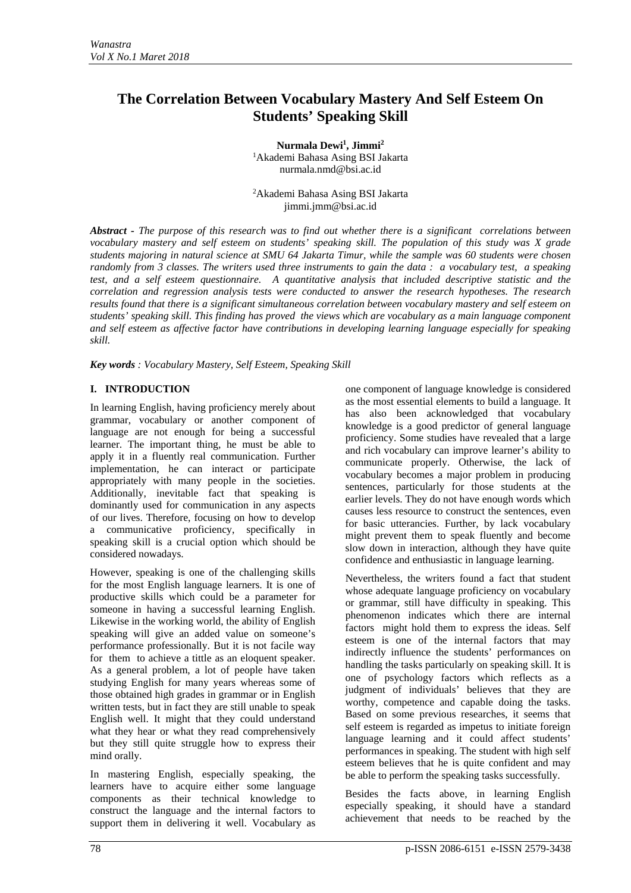# **The Correlation Between Vocabulary Mastery And Self Esteem On Students' Speaking Skill**

**Nurmala Dewi1 , Jimmi2** 1 Akademi Bahasa Asing BSI Jakarta nurmala.nmd@bsi.ac.id

2 Akademi Bahasa Asing BSI Jakarta jimmi.jmm@bsi.ac.id

*Abstract - The purpose of this research was to find out whether there is a significant correlations between vocabulary mastery and self esteem on students' speaking skill. The population of this study was X grade students majoring in natural science at SMU 64 Jakarta Timur, while the sample was 60 students were chosen randomly from 3 classes. The writers used three instruments to gain the data : a vocabulary test, a speaking test, and a self esteem questionnaire. A quantitative analysis that included descriptive statistic and the correlation and regression analysis tests were conducted to answer the research hypotheses. The research results found that there is a significant simultaneous correlation between vocabulary mastery and self esteem on students' speaking skill. This finding has proved the views which are vocabulary as a main language component and self esteem as affective factor have contributions in developing learning language especially for speaking skill.* 

*Key words : Vocabulary Mastery, Self Esteem, Speaking Skill* 

# **I. INTRODUCTION**

In learning English, having proficiency merely about grammar, vocabulary or another component of language are not enough for being a successful learner. The important thing, he must be able to apply it in a fluently real communication. Further implementation, he can interact or participate appropriately with many people in the societies. Additionally, inevitable fact that speaking is dominantly used for communication in any aspects of our lives. Therefore, focusing on how to develop a communicative proficiency, specifically in speaking skill is a crucial option which should be considered nowadays.

However, speaking is one of the challenging skills for the most English language learners. It is one of productive skills which could be a parameter for someone in having a successful learning English. Likewise in the working world, the ability of English speaking will give an added value on someone's performance professionally. But it is not facile way for them to achieve a tittle as an eloquent speaker. As a general problem, a lot of people have taken studying English for many years whereas some of those obtained high grades in grammar or in English written tests, but in fact they are still unable to speak English well. It might that they could understand what they hear or what they read comprehensively but they still quite struggle how to express their mind orally.

In mastering English, especially speaking, the learners have to acquire either some language components as their technical knowledge to construct the language and the internal factors to support them in delivering it well. Vocabulary as one component of language knowledge is considered as the most essential elements to build a language. It has also been acknowledged that vocabulary knowledge is a good predictor of general language proficiency. Some studies have revealed that a large and rich vocabulary can improve learner's ability to communicate properly. Otherwise, the lack of vocabulary becomes a major problem in producing sentences, particularly for those students at the earlier levels. They do not have enough words which causes less resource to construct the sentences, even for basic utterancies. Further, by lack vocabulary might prevent them to speak fluently and become slow down in interaction, although they have quite confidence and enthusiastic in language learning.

Nevertheless, the writers found a fact that student whose adequate language proficiency on vocabulary or grammar, still have difficulty in speaking. This phenomenon indicates which there are internal factors might hold them to express the ideas. Self esteem is one of the internal factors that may indirectly influence the students' performances on handling the tasks particularly on speaking skill. It is one of psychology factors which reflects as a judgment of individuals' believes that they are worthy, competence and capable doing the tasks. Based on some previous researches, it seems that self esteem is regarded as impetus to initiate foreign language learning and it could affect students' performances in speaking. The student with high self esteem believes that he is quite confident and may be able to perform the speaking tasks successfully.

Besides the facts above, in learning English especially speaking, it should have a standard achievement that needs to be reached by the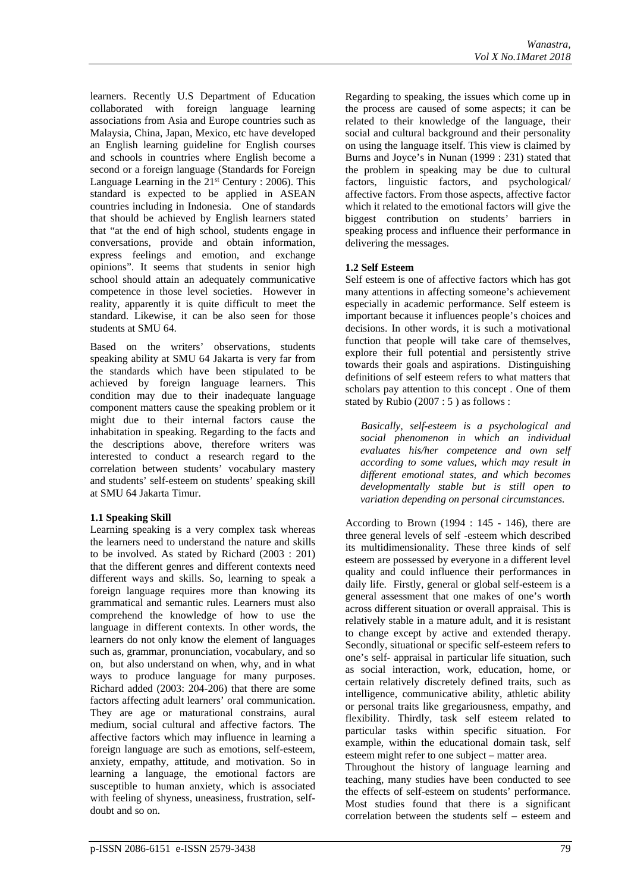learners. Recently U.S Department of Education collaborated with foreign language learning associations from Asia and Europe countries such as Malaysia, China, Japan, Mexico, etc have developed an English learning guideline for English courses and schools in countries where English become a second or a foreign language (Standards for Foreign Language Learning in the  $21<sup>st</sup>$  Century : 2006). This standard is expected to be applied in ASEAN countries including in Indonesia. One of standards that should be achieved by English learners stated that "at the end of high school, students engage in conversations, provide and obtain information, express feelings and emotion, and exchange opinions". It seems that students in senior high school should attain an adequately communicative competence in those level societies. However in reality, apparently it is quite difficult to meet the standard. Likewise, it can be also seen for those students at SMU 64.

Based on the writers' observations, students speaking ability at SMU 64 Jakarta is very far from the standards which have been stipulated to be achieved by foreign language learners. This condition may due to their inadequate language component matters cause the speaking problem or it might due to their internal factors cause the inhabitation in speaking. Regarding to the facts and the descriptions above, therefore writers was interested to conduct a research regard to the correlation between students' vocabulary mastery and students' self-esteem on students' speaking skill at SMU 64 Jakarta Timur.

# **1.1 Speaking Skill**

Learning speaking is a very complex task whereas the learners need to understand the nature and skills to be involved. As stated by Richard (2003 : 201) that the different genres and different contexts need different ways and skills. So, learning to speak a foreign language requires more than knowing its grammatical and semantic rules. Learners must also comprehend the knowledge of how to use the language in different contexts. In other words, the learners do not only know the element of languages such as, grammar, pronunciation, vocabulary, and so on, but also understand on when, why, and in what ways to produce language for many purposes. Richard added (2003: 204-206) that there are some factors affecting adult learners' oral communication. They are age or maturational constrains, aural medium, social cultural and affective factors. The affective factors which may influence in learning a foreign language are such as emotions, self-esteem, anxiety, empathy, attitude, and motivation. So in learning a language, the emotional factors are susceptible to human anxiety, which is associated with feeling of shyness, uneasiness, frustration, selfdoubt and so on.

Regarding to speaking, the issues which come up in the process are caused of some aspects; it can be related to their knowledge of the language, their social and cultural background and their personality on using the language itself. This view is claimed by Burns and Joyce's in Nunan (1999 : 231) stated that the problem in speaking may be due to cultural factors, linguistic factors, and psychological/ affective factors. From those aspects, affective factor which it related to the emotional factors will give the biggest contribution on students' barriers in speaking process and influence their performance in delivering the messages.

# **1.2 Self Esteem**

Self esteem is one of affective factors which has got many attentions in affecting someone's achievement especially in academic performance. Self esteem is important because it influences people's choices and decisions. In other words, it is such a motivational function that people will take care of themselves, explore their full potential and persistently strive towards their goals and aspirations. Distinguishing definitions of self esteem refers to what matters that scholars pay attention to this concept . One of them stated by Rubio (2007 : 5 ) as follows :

*Basically, self-esteem is a psychological and social phenomenon in which an individual evaluates his/her competence and own self according to some values, which may result in different emotional states, and which becomes developmentally stable but is still open to variation depending on personal circumstances.*

According to Brown (1994 : 145 - 146), there are three general levels of self -esteem which described its multidimensionality. These three kinds of self esteem are possessed by everyone in a different level quality and could influence their performances in daily life. Firstly, general or global self-esteem is a general assessment that one makes of one's worth across different situation or overall appraisal. This is relatively stable in a mature adult, and it is resistant to change except by active and extended therapy. Secondly, situational or specific self-esteem refers to one's self- appraisal in particular life situation, such as social interaction, work, education, home, or certain relatively discretely defined traits, such as intelligence, communicative ability, athletic ability or personal traits like gregariousness, empathy, and flexibility. Thirdly, task self esteem related to particular tasks within specific situation. For example, within the educational domain task, self esteem might refer to one subject – matter area. Throughout the history of language learning and

teaching, many studies have been conducted to see the effects of self-esteem on students' performance. Most studies found that there is a significant correlation between the students self – esteem and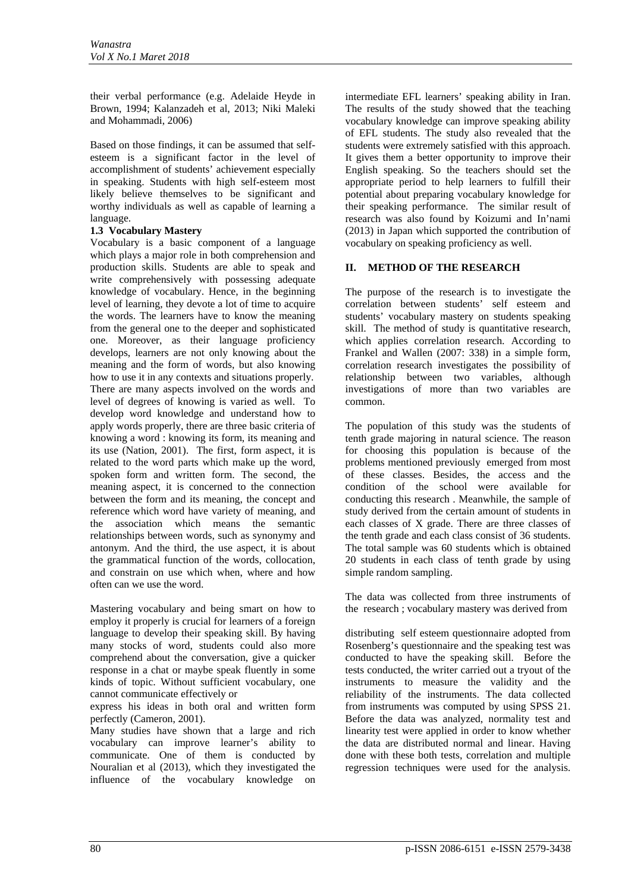their verbal performance (e.g. Adelaide Heyde in Brown, 1994; Kalanzadeh et al, 2013; Niki Maleki and Mohammadi, 2006)

Based on those findings, it can be assumed that selfesteem is a significant factor in the level of accomplishment of students' achievement especially in speaking. Students with high self-esteem most likely believe themselves to be significant and worthy individuals as well as capable of learning a language.

# **1.3 Vocabulary Mastery**

Vocabulary is a basic component of a language which plays a major role in both comprehension and production skills. Students are able to speak and write comprehensively with possessing adequate knowledge of vocabulary. Hence, in the beginning level of learning, they devote a lot of time to acquire the words. The learners have to know the meaning from the general one to the deeper and sophisticated one. Moreover, as their language proficiency develops, learners are not only knowing about the meaning and the form of words, but also knowing how to use it in any contexts and situations properly. There are many aspects involved on the words and level of degrees of knowing is varied as well. To develop word knowledge and understand how to apply words properly, there are three basic criteria of knowing a word : knowing its form, its meaning and its use (Nation, 2001). The first, form aspect, it is related to the word parts which make up the word, spoken form and written form. The second, the meaning aspect, it is concerned to the connection between the form and its meaning, the concept and reference which word have variety of meaning, and the association which means the semantic relationships between words, such as synonymy and antonym. And the third, the use aspect, it is about the grammatical function of the words, collocation, and constrain on use which when, where and how often can we use the word.

Mastering vocabulary and being smart on how to employ it properly is crucial for learners of a foreign language to develop their speaking skill. By having many stocks of word, students could also more comprehend about the conversation, give a quicker response in a chat or maybe speak fluently in some kinds of topic. Without sufficient vocabulary, one cannot communicate effectively or

express his ideas in both oral and written form perfectly (Cameron, 2001).

Many studies have shown that a large and rich vocabulary can improve learner's ability to communicate. One of them is conducted by Nouralian et al (2013), which they investigated the influence of the vocabulary knowledge on

intermediate EFL learners' speaking ability in Iran. The results of the study showed that the teaching vocabulary knowledge can improve speaking ability of EFL students. The study also revealed that the students were extremely satisfied with this approach. It gives them a better opportunity to improve their English speaking. So the teachers should set the appropriate period to help learners to fulfill their potential about preparing vocabulary knowledge for their speaking performance. The similar result of research was also found by Koizumi and In'nami (2013) in Japan which supported the contribution of vocabulary on speaking proficiency as well.

# **II. METHOD OF THE RESEARCH**

The purpose of the research is to investigate the correlation between students' self esteem and students' vocabulary mastery on students speaking skill. The method of study is quantitative research, which applies correlation research. According to Frankel and Wallen (2007: 338) in a simple form, correlation research investigates the possibility of relationship between two variables, although investigations of more than two variables are common.

The population of this study was the students of tenth grade majoring in natural science. The reason for choosing this population is because of the problems mentioned previously emerged from most of these classes. Besides, the access and the condition of the school were available for conducting this research . Meanwhile, the sample of study derived from the certain amount of students in each classes of X grade. There are three classes of the tenth grade and each class consist of 36 students. The total sample was 60 students which is obtained 20 students in each class of tenth grade by using simple random sampling.

The data was collected from three instruments of the research ; vocabulary mastery was derived from

distributing self esteem questionnaire adopted from Rosenberg's questionnaire and the speaking test was conducted to have the speaking skill. Before the tests conducted, the writer carried out a tryout of the instruments to measure the validity and the reliability of the instruments. The data collected from instruments was computed by using SPSS 21. Before the data was analyzed, normality test and linearity test were applied in order to know whether the data are distributed normal and linear. Having done with these both tests, correlation and multiple regression techniques were used for the analysis.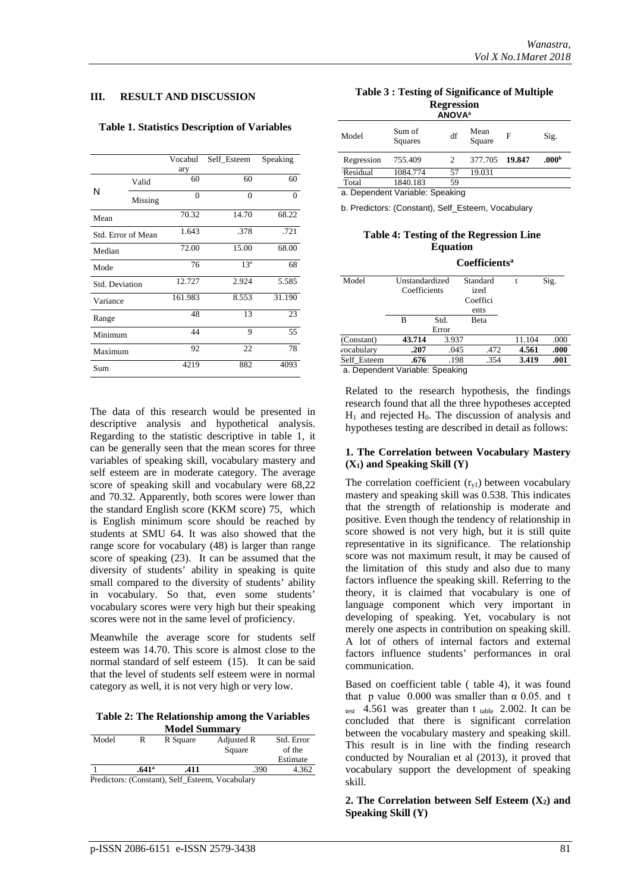### **III. RESULT AND DISCUSSION**

#### **Table 1. Statistics Description of Variables**

|                       |         | Vocabul<br>ary | Self Esteem     | Speaking |
|-----------------------|---------|----------------|-----------------|----------|
| N                     | Valid   | 60             | 60              | 60       |
|                       | Missing | $\theta$       | $\overline{0}$  | $\Omega$ |
| Mean                  |         | 70.32          | 14.70           | 68.22    |
| Std. Error of Mean    |         | 1.643          | .378            | .721     |
| Median                |         | 72.00          | 15.00           | 68.00    |
| Mode                  |         | 76             | 13 <sup>a</sup> | 68       |
| <b>Std. Deviation</b> |         | 12.727         | 2.924           | 5.585    |
| Variance              |         | 161.983        | 8.553           | 31.190   |
| Range                 |         | 48             | 13              | 23       |
| Minimum               |         | 44             | 9               | 55       |
| Maximum               |         | 92             | 22              | 78       |
| Sum                   |         | 4219           | 882             | 4093     |

The data of this research would be presented in descriptive analysis and hypothetical analysis. Regarding to the statistic descriptive in table 1, it can be generally seen that the mean scores for three variables of speaking skill, vocabulary mastery and self esteem are in moderate category. The average score of speaking skill and vocabulary were 68,22 and 70.32. Apparently, both scores were lower than the standard English score (KKM score) 75, which is English minimum score should be reached by students at SMU 64. It was also showed that the range score for vocabulary (48) is larger than range score of speaking (23). It can be assumed that the diversity of students' ability in speaking is quite small compared to the diversity of students' ability in vocabulary. So that, even some students' vocabulary scores were very high but their speaking scores were not in the same level of proficiency.

Meanwhile the average score for students self esteem was 14.70. This score is almost close to the normal standard of self esteem (15). It can be said that the level of students self esteem were in normal category as well, it is not very high or very low.

**Table 2: The Relationship among the Variables Model Summary**

| Model                                           | R     | R Square | Adjusted R | Std. Error |  |  |  |
|-------------------------------------------------|-------|----------|------------|------------|--|--|--|
|                                                 |       |          | Square     | of the     |  |  |  |
|                                                 |       |          |            | Estimate   |  |  |  |
|                                                 | .641ª | .411     | .390       | 4.362      |  |  |  |
| Predictors: (Constant), Self_Esteem, Vocabulary |       |          |            |            |  |  |  |

| Table 3 : Testing of Significance of Multiple |  |  |  |  |  |
|-----------------------------------------------|--|--|--|--|--|
| <b>Regression</b>                             |  |  |  |  |  |
| <b>ANIOVAS</b>                                |  |  |  |  |  |

| <b>ANOVA</b> <sup>a</sup> |                   |    |                |   |                   |  |
|---------------------------|-------------------|----|----------------|---|-------------------|--|
| Model                     | Sum of<br>Squares | df | Mean<br>Square | F | Sig.              |  |
| Regression                | 755.409           |    | 377.705 19.847 |   | .000 <sup>b</sup> |  |
| Residual                  | 1084.774          | 57 | 19.031         |   |                   |  |
| Total                     | 1840.183          | 59 |                |   |                   |  |

a. Dependent Variable: Speaking

b. Predictors: (Constant), Self\_Esteem, Vocabulary

### **Table 4: Testing of the Regression Line Equation**

|                                | Coefficients <sup>a</sup>                   |       |                                              |      |        |      |  |
|--------------------------------|---------------------------------------------|-------|----------------------------------------------|------|--------|------|--|
| Model                          | Unstandardized<br>Coefficients<br>Std.<br>В |       | Standard<br>ized<br>Coeffici<br>ents<br>Beta |      |        | Sig. |  |
|                                |                                             |       |                                              |      |        |      |  |
|                                |                                             | Error |                                              |      |        |      |  |
| (Constant)                     | 43.714                                      | 3.937 |                                              |      | 11.104 | .000 |  |
| vocabulary                     | .207                                        | .045  |                                              | .472 | 4.561  | .000 |  |
| Self Esteem                    | .676                                        |       | .198                                         | .354 | 3.419  | .001 |  |
| a Donondont Variable: Spooking |                                             |       |                                              |      |        |      |  |

a. Dependent Variable: Speaking

Related to the research hypothesis, the findings research found that all the three hypotheses accepted  $H<sub>1</sub>$  and rejected  $H<sub>0</sub>$ . The discussion of analysis and hypotheses testing are described in detail as follows:

### **1. The Correlation between Vocabulary Mastery (X1) and Speaking Skill (Y)**

The correlation coefficient  $(r_{v1})$  between vocabulary mastery and speaking skill was 0.538. This indicates that the strength of relationship is moderate and positive. Even though the tendency of relationship in score showed is not very high, but it is still quite representative in its significance. The relationship score was not maximum result, it may be caused of the limitation of this study and also due to many factors influence the speaking skill. Referring to the theory, it is claimed that vocabulary is one of language component which very important in developing of speaking. Yet, vocabulary is not merely one aspects in contribution on speaking skill. A lot of others of internal factors and external factors influence students' performances in oral communication.

Based on coefficient table ( table 4), it was found that p value 0.000 was smaller than  $\alpha$  0.05, and t test  $4.561$  was greater than t table 2.002. It can be concluded that there is significant correlation between the vocabulary mastery and speaking skill. This result is in line with the finding research conducted by Nouralian et al (2013), it proved that vocabulary support the development of speaking skill.

### **2. The Correlation between Self Esteem**  $(X_2)$  **and Speaking Skill (Y)**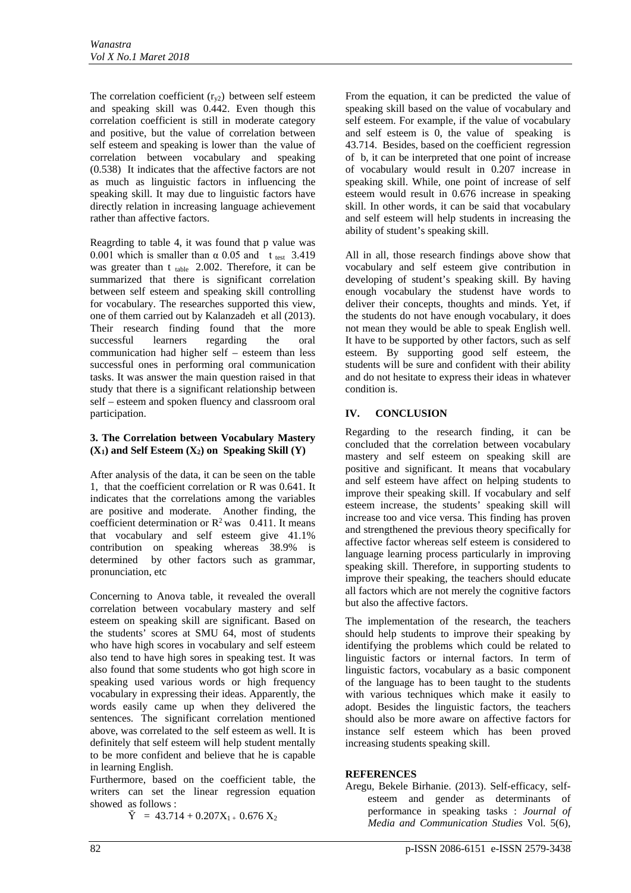The correlation coefficient  $(r_{v2})$  between self esteem and speaking skill was 0.442. Even though this correlation coefficient is still in moderate category and positive, but the value of correlation between self esteem and speaking is lower than the value of correlation between vocabulary and speaking (0.538) It indicates that the affective factors are not as much as linguistic factors in influencing the speaking skill. It may due to linguistic factors have directly relation in increasing language achievement rather than affective factors.

Reagrding to table 4, it was found that p value was 0.001 which is smaller than  $\alpha$  0.05 and t<sub>test</sub> 3.419 was greater than  $t_{table}$  2.002. Therefore, it can be summarized that there is significant correlation between self esteem and speaking skill controlling for vocabulary. The researches supported this view, one of them carried out by Kalanzadeh et all (2013). Their research finding found that the more successful learners regarding the oral communication had higher self – esteem than less successful ones in performing oral communication tasks. It was answer the main question raised in that study that there is a significant relationship between self – esteem and spoken fluency and classroom oral participation.

# **3. The Correlation between Vocabulary Mastery (X1) and Self Esteem (X2) on Speaking Skill (Y)**

After analysis of the data, it can be seen on the table 1, that the coefficient correlation or R was 0.641. It indicates that the correlations among the variables are positive and moderate. Another finding, the coefficient determination or  $R^2$  was 0.411. It means that vocabulary and self esteem give 41.1% contribution on speaking whereas 38.9% is determined by other factors such as grammar, pronunciation, etc

Concerning to Anova table, it revealed the overall correlation between vocabulary mastery and self esteem on speaking skill are significant. Based on the students' scores at SMU 64, most of students who have high scores in vocabulary and self esteem also tend to have high sores in speaking test. It was also found that some students who got high score in speaking used various words or high frequency vocabulary in expressing their ideas. Apparently, the words easily came up when they delivered the sentences. The significant correlation mentioned above, was correlated to the self esteem as well. It is definitely that self esteem will help student mentally to be more confident and believe that he is capable in learning English.

Furthermore, based on the coefficient table, the writers can set the linear regression equation showed as follows :

 $\check{Y}$  = 43.714 + 0.207X<sub>1 +</sub> 0.676 X<sub>2</sub>

From the equation, it can be predicted the value of speaking skill based on the value of vocabulary and self esteem. For example, if the value of vocabulary and self esteem is 0, the value of speaking is 43.714. Besides, based on the coefficient regression of b, it can be interpreted that one point of increase of vocabulary would result in 0.207 increase in speaking skill. While, one point of increase of self esteem would result in 0.676 increase in speaking skill. In other words, it can be said that vocabulary and self esteem will help students in increasing the ability of student's speaking skill.

All in all, those research findings above show that vocabulary and self esteem give contribution in developing of student's speaking skill. By having enough vocabulary the studenst have words to deliver their concepts, thoughts and minds. Yet, if the students do not have enough vocabulary, it does not mean they would be able to speak English well. It have to be supported by other factors, such as self esteem. By supporting good self esteem, the students will be sure and confident with their ability and do not hesitate to express their ideas in whatever condition is.

# **IV. CONCLUSION**

Regarding to the research finding, it can be concluded that the correlation between vocabulary mastery and self esteem on speaking skill are positive and significant. It means that vocabulary and self esteem have affect on helping students to improve their speaking skill. If vocabulary and self esteem increase, the students' speaking skill will increase too and vice versa. This finding has proven and strengthened the previous theory specifically for affective factor whereas self esteem is considered to language learning process particularly in improving speaking skill. Therefore, in supporting students to improve their speaking, the teachers should educate all factors which are not merely the cognitive factors but also the affective factors.

The implementation of the research, the teachers should help students to improve their speaking by identifying the problems which could be related to linguistic factors or internal factors. In term of linguistic factors, vocabulary as a basic component of the language has to been taught to the students with various techniques which make it easily to adopt. Besides the linguistic factors, the teachers should also be more aware on affective factors for instance self esteem which has been proved increasing students speaking skill.

### **REFERENCES**

Aregu, Bekele Birhanie. (2013). Self-efficacy, selfesteem and gender as determinants of performance in speaking tasks : *Journal of Media and Communication Studies* Vol. 5(6),